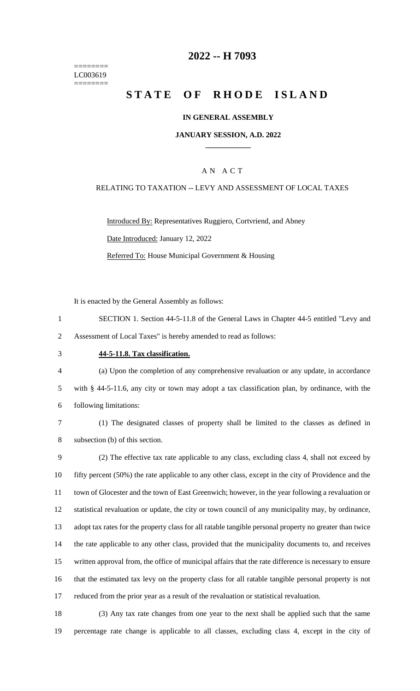======== LC003619 ========

## **-- H 7093**

# **STATE OF RHODE ISLAND**

#### **IN GENERAL ASSEMBLY**

#### **JANUARY SESSION, A.D. 2022 \_\_\_\_\_\_\_\_\_\_\_\_**

### A N A C T

#### RELATING TO TAXATION -- LEVY AND ASSESSMENT OF LOCAL TAXES

Introduced By: Representatives Ruggiero, Cortvriend, and Abney Date Introduced: January 12, 2022 Referred To: House Municipal Government & Housing

It is enacted by the General Assembly as follows:

- SECTION 1. Section 44-5-11.8 of the General Laws in Chapter 44-5 entitled "Levy and Assessment of Local Taxes" is hereby amended to read as follows:
- 

#### **44-5-11.8. Tax classification.**

 (a) Upon the completion of any comprehensive revaluation or any update, in accordance with § 44-5-11.6, any city or town may adopt a tax classification plan, by ordinance, with the following limitations:

 (1) The designated classes of property shall be limited to the classes as defined in subsection (b) of this section.

 (2) The effective tax rate applicable to any class, excluding class 4, shall not exceed by fifty percent (50%) the rate applicable to any other class, except in the city of Providence and the town of Glocester and the town of East Greenwich; however, in the year following a revaluation or statistical revaluation or update, the city or town council of any municipality may, by ordinance, adopt tax rates for the property class for all ratable tangible personal property no greater than twice the rate applicable to any other class, provided that the municipality documents to, and receives written approval from, the office of municipal affairs that the rate difference is necessary to ensure that the estimated tax levy on the property class for all ratable tangible personal property is not reduced from the prior year as a result of the revaluation or statistical revaluation.

 (3) Any tax rate changes from one year to the next shall be applied such that the same percentage rate change is applicable to all classes, excluding class 4, except in the city of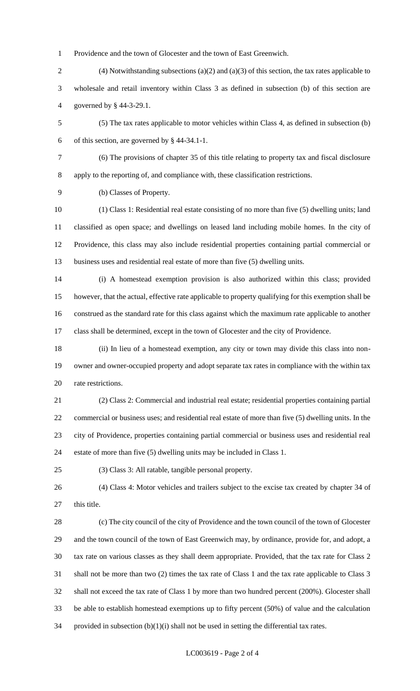Providence and the town of Glocester and the town of East Greenwich.

- (4) Notwithstanding subsections (a)(2) and (a)(3) of this section, the tax rates applicable to wholesale and retail inventory within Class 3 as defined in subsection (b) of this section are governed by § 44-3-29.1.
- (5) The tax rates applicable to motor vehicles within Class 4, as defined in subsection (b) of this section, are governed by § 44-34.1-1.
- 

 (6) The provisions of chapter 35 of this title relating to property tax and fiscal disclosure apply to the reporting of, and compliance with, these classification restrictions.

(b) Classes of Property.

 (1) Class 1: Residential real estate consisting of no more than five (5) dwelling units; land classified as open space; and dwellings on leased land including mobile homes. In the city of Providence, this class may also include residential properties containing partial commercial or business uses and residential real estate of more than five (5) dwelling units.

 (i) A homestead exemption provision is also authorized within this class; provided however, that the actual, effective rate applicable to property qualifying for this exemption shall be construed as the standard rate for this class against which the maximum rate applicable to another class shall be determined, except in the town of Glocester and the city of Providence.

 (ii) In lieu of a homestead exemption, any city or town may divide this class into non- owner and owner-occupied property and adopt separate tax rates in compliance with the within tax rate restrictions.

 (2) Class 2: Commercial and industrial real estate; residential properties containing partial commercial or business uses; and residential real estate of more than five (5) dwelling units. In the city of Providence, properties containing partial commercial or business uses and residential real estate of more than five (5) dwelling units may be included in Class 1.

(3) Class 3: All ratable, tangible personal property.

 (4) Class 4: Motor vehicles and trailers subject to the excise tax created by chapter 34 of 27 this title.

 (c) The city council of the city of Providence and the town council of the town of Glocester and the town council of the town of East Greenwich may, by ordinance, provide for, and adopt, a tax rate on various classes as they shall deem appropriate. Provided, that the tax rate for Class 2 shall not be more than two (2) times the tax rate of Class 1 and the tax rate applicable to Class 3 shall not exceed the tax rate of Class 1 by more than two hundred percent (200%). Glocester shall be able to establish homestead exemptions up to fifty percent (50%) of value and the calculation 34 provided in subsection  $(b)(1)(i)$  shall not be used in setting the differential tax rates.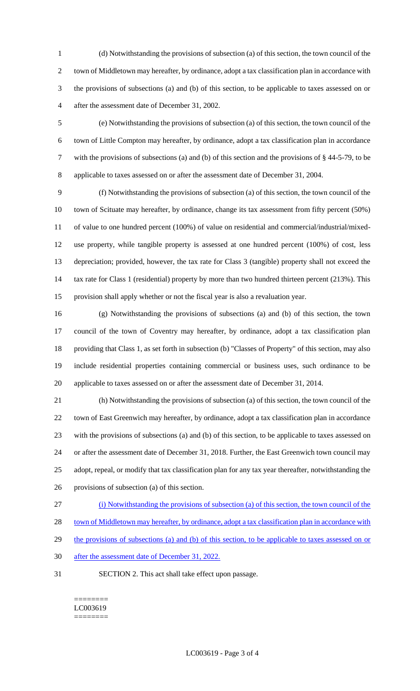(d) Notwithstanding the provisions of subsection (a) of this section, the town council of the town of Middletown may hereafter, by ordinance, adopt a tax classification plan in accordance with the provisions of subsections (a) and (b) of this section, to be applicable to taxes assessed on or after the assessment date of December 31, 2002.

 (e) Notwithstanding the provisions of subsection (a) of this section, the town council of the town of Little Compton may hereafter, by ordinance, adopt a tax classification plan in accordance with the provisions of subsections (a) and (b) of this section and the provisions of § 44-5-79, to be applicable to taxes assessed on or after the assessment date of December 31, 2004.

 (f) Notwithstanding the provisions of subsection (a) of this section, the town council of the town of Scituate may hereafter, by ordinance, change its tax assessment from fifty percent (50%) of value to one hundred percent (100%) of value on residential and commercial/industrial/mixed- use property, while tangible property is assessed at one hundred percent (100%) of cost, less depreciation; provided, however, the tax rate for Class 3 (tangible) property shall not exceed the 14 tax rate for Class 1 (residential) property by more than two hundred thirteen percent (213%). This provision shall apply whether or not the fiscal year is also a revaluation year.

 (g) Notwithstanding the provisions of subsections (a) and (b) of this section, the town council of the town of Coventry may hereafter, by ordinance, adopt a tax classification plan providing that Class 1, as set forth in subsection (b) "Classes of Property" of this section, may also include residential properties containing commercial or business uses, such ordinance to be applicable to taxes assessed on or after the assessment date of December 31, 2014.

 (h) Notwithstanding the provisions of subsection (a) of this section, the town council of the town of East Greenwich may hereafter, by ordinance, adopt a tax classification plan in accordance with the provisions of subsections (a) and (b) of this section, to be applicable to taxes assessed on or after the assessment date of December 31, 2018. Further, the East Greenwich town council may adopt, repeal, or modify that tax classification plan for any tax year thereafter, notwithstanding the provisions of subsection (a) of this section.

(i) Notwithstanding the provisions of subsection (a) of this section, the town council of the

28 town of Middletown may hereafter, by ordinance, adopt a tax classification plan in accordance with

29 the provisions of subsections (a) and (b) of this section, to be applicable to taxes assessed on or

- after the assessment date of December 31, 2022.
- SECTION 2. This act shall take effect upon passage.

======== LC003619 ========